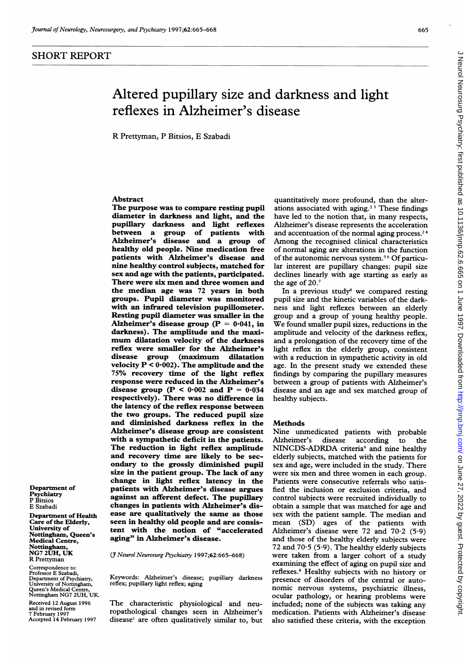## SHORT REPORT

Department of Psychiatry P Bitsios E Szabadi

Nottingham, NG7 2UH, UK R Prettyman Correspondence to: Professor E Szabadi, Department of Psychiatry, University of Nottingham, Queen's Medical Centre, Nottingham NG7 2UH, UK. Received 12 August 1996 and in revised fo

Department of Health Care of the Elderly, University of

Nottingham, Queen's Medical Centre,

7 February 1997 Accepted 14 February 1997

# Altered pupillary size and darkness and light reflexes in Alzheimer's disease

R Prettyman, P Bitsios, E Szabadi

## Abstract

The purpose was to compare resting pupil diameter in darkness and light, and the pupillary darkness and light reflexes between a group of patients with Alzheimer's disease and a group of healthy old people. Nine medication free patients with Alzheimer's disease and nine healthy control subjects, matched for sex and age with the patients, participated. There were six men and three women and the median age was 72 years in both groups. Pupil diameter was monitored with an infrared television pupillometer. Resting pupil diameter was smaller in the Alzheimer's disease group ( $P = 0.041$ , in darkness). The amplitude and the maximum dilatation velocity of the darkness reflex were smaller for the Alzheimer's (maximum dilatation velocity  $P < 0.002$ ). The amplitude and the 75% recovery time of the light reflex response were reduced in the Alzheimer's disease group ( $P < 0.002$  and  $P = 0.034$ respectively). There was no difference in the latency of the reflex response between the two groups. The reduced pupil size and diminished darkness reflex in the Alzheimer's disease group are consistent with a sympathetic deficit in the patients. The reduction in light reflex amplitude and recovery time are likely to be secondary to the grossly diminished pupil size in the patient group. The lack of any change in light reflex latency in the patients with Alzheimer's disease argues against an afferent defect. The pupillary changes in patients with Alzheimer's disease are qualitatively the same as those seen in healthy old people and are consistent with the notion of "accelerated aging" in Alzheimer's disease.

( Neurol Neurosurg Psychiatry 1997;62:665-668)

Keywords: Alzheimer's disease; pupillary darkness reflex; pupillary light reflex; aging

The characteristic physiological and neuropathological changes seen in Alzheimer's disease' are often qualitatively similar to, but

quantitatively more profound, than the alterations associated with aging.2 <sup>3</sup> These findings have led to the notion that, in many respects, Alzheimer's disease represents the acceleration and accentuation of the normal aging process.<sup>24</sup> Among the recognised clinical characteristics of normal aging are alterations in the function of the autonomic nervous system.<sup>56</sup> Of particular interest are pupillary changes: pupil size declines linearly with age starting as early as the age of 20.7

In a previous study<sup>8</sup> we compared resting pupil size and the kinetic variables of the darkness and light reflexes between an elderly group and <sup>a</sup> group of young healthy people. We found smaller pupil sizes, reductions in the amplitude and velocity of the darkness reflex, and a prolongation of the recovery time of the light reflex in the elderly group, consistent with a reduction in sympathetic activity in old age. In the present study we extended these findings by comparing the pupillary measures between a group of patients with Alzheimer's disease and an age and sex matched group of healthy subjects.

#### **Methods**

Nine unmedicated patients with probable<br>Alzheimer's disease according to the according NINCDS-ADRDA criteria<sup>9</sup> and nine healthy elderly subjects, matched with the patients for sex and age, were included in the study. There were six men and three women in each group. Patients were consecutive referrals who satisfied the inclusion or exclusion criteria, and control subjects were recruited individually to obtain a sample that was matched for age and sex with the patient sample. The median and mean (SD) ages of the patients with Alzheimer's disease were 72 and  $70.2$  (5.9) and those of the healthy elderly subjects were 72 and  $70.5$  (5.9). The healthy elderly subjects were taken from a larger cohort of a study examining the effect of aging on pupil size and reflexes.8 Healthy subjects with no history or presence of disorders of the central or autonomic nervous systems, psychiatric illness, ocular pathology, or hearing problems were included; none of the subjects was taking any medication. Patients with Alzheimer's disease also satisfied these criteria, with the exception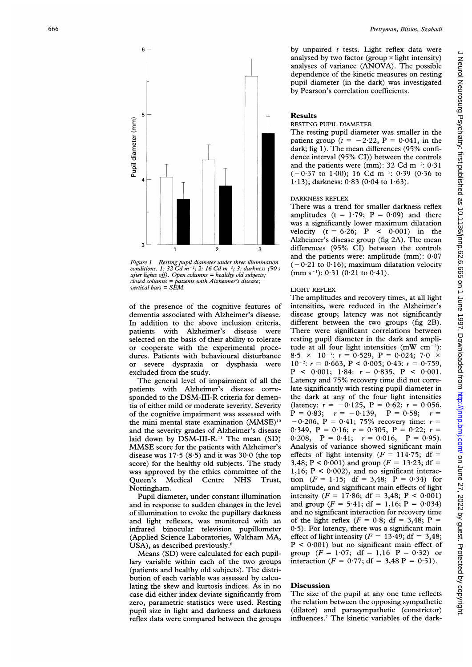

Figure <sup>1</sup> Resting pupil diameter under three illumination conditions. 1: 32  $\vec{C}d \vec{m}^{-2}$ ; 2: 16  $\vec{C}d \vec{m}^{-2}$ ; 3: darkness (90 s  $after$  lights off). Open columns = healthy old subjects; closed columns = patients with Alzheimer's disease; vertical bars = SEM.

of the presence of the cognitive features of dementia associated with Alzheimer's disease. In addition to the above inclusion criteria, patients with Alzheimer's disease were selected on the basis of their ability to tolerate or cooperate with the experimental procedures. Patients with behavioural disturbance or severe dyspraxia or dysphasia were excluded from the study.

The general level of impairment of all the patients with Alzheimer's disease corresponded to the DSM-III-R criteria for dementia of either mild or moderate severity. Severity of the cognitive impairment was assessed with the mini mental state examination (MMSE)<sup>10</sup> and the severity grades of Alzheimer's disease laid down by  $DSM-III-R$ .<sup>11</sup> The mean  $(SD)$ MMSE score for the patients with Alzheimer's disease was  $17.5$  (8.5) and it was  $30.0$  (the top score) for the healthy old subjects. The study was approved by the ethics committee of the Queen's Medical Centre NHS Trust, Nottingham.

Pupil diameter, under constant illumination and in response to sudden changes in the level of illumination to evoke the pupillary darkness and light reflexes, was monitored with an infrared binocular television pupillometer (Applied Science Laboratories, Waltham MA, USA), as described previously.<sup>8</sup>

Means (SD) were calculated for each pupillary variable within each of the two groups (patients and healthy old subjects). The distribution of each variable was assessed by calculating the skew and kurtosis indices. As in no case did either index deviate significantly from zero, parametric statistics were used. Resting pupil size in light and darkness and darkness reflex data were compared between the groups

by unpaired  $t$  tests. Light reflex data were analysed by two factor (group  $\times$  light intensity) analyses of variance (ANOVA). The possible dependence of the kinetic measures on resting pupil diameter (in the dark) was investigated by Pearson's correlation coefficients.

#### Results

#### RESTING PUPIL DIAMETER

The resting pupil diameter was smaller in the patient group ( $t = -2.22$ ,  $P = 0.041$ , in the dark; fig 1). The mean differences (95% confidence interval (95% CI)) between the controls and the patients were (mm):  $32 \text{ Cd m}^{-2}$ :  $0.31$  $(-0.37 \text{ to } 1.00)$ ; 16 Cd m<sup>-2</sup>: 0.39 (0.36 to 1.13); darkness:  $0.83$  ( $0.04$  to  $1.63$ ).

#### DARKNESS REFLEX

There was a trend for smaller darkness reflex amplitudes ( $t = 1.79$ ;  $P = 0.09$ ) and there was <sup>a</sup> significantly lower maximum dilatation velocity  $(t = 6.26; P < 0.001)$  in the Alzheimer's disease group (fig 2A). The mean differences (95% CI) between the controls and the patients were: amplitude (mm): 0-07  $(-0.21 \text{ to } 0.16)$ ; maximum dilatation velocity  $(mm s^{-1})$ : 0.31 (0.21 to 0.41).

### LIGHT REFLEX

The amplitudes and recovery times, at all light intensities, were reduced in the Alzheimer's disease group; latency was not significantly different between the two groups (fig 2B). There were significant correlations between resting pupil diameter in the dark and amplitude at all four light intensities  $(mW cm^{-2})$ : 8.5  $\times$  10<sup>-3</sup>:  $r = 0.529$ ,  $P = 0.024$ ; 7.0  $\times$  $10^{-2}$ :  $r = 0.663$ ,  $P < 0.005$ ;  $0.43$ :  $r = 0.759$ ,  $P \le 0.001$ ; 1.84:  $r = 0.835$ ,  $P \le 0.001$ . Latency and 75% recovery time did not correlate significantly with resting pupil diameter in the dark at any of the four light intensities (latency:  $r = -0.125$ ,  $P = 0.62$ ;  $r = 0.056$ ,  $P = 0.83; r = -0.139, P = 0.58; r =$  $-0.206$ ,  $P = 0.41$ ; 75% recovery time:  $r =$ 0.349,  $P = 0.16$ ;  $r = 0.305$ ,  $P = 0.22$ ;  $r =$ 0.208,  $P = 0.41$ ;  $r = 0.016$ ,  $P = 0.95$ ). Analysis of variance showed significant main effects of light intensity  $(F = 114.75; df =$ 3,48; P < 0.001) and group ( $F = 13.23$ ; df = 1,16;  $P < 0.002$ ), and no significant interaction  $(F = 1.15; df = 3,48; P = 0.34)$  for amplitude, and significant main effects of light intensity ( $F = 17.86$ ; df = 3,48;  $P < 0.001$ ) and group  $(F = 5.41; df = 1,16; P = 0.034)$ and no significant interaction for recovery time of the light reflex  $(F = 0.8; df = 3,48; P =$  $0.5$ ). For latency, there was a significant main effect of light intensity ( $F = 13-49$ ; df = 3.48;  $P < 0.001$ ) but no significant main effect of group ( $F = 1.07$ ; df = 1,16 P = 0.32) or interaction ( $F = 0.77$ ; df = 3,48 P = 0.51).

## Discussion

The size of the pupil at any one time reflects the relation between the opposing sympathetic (dilator) and parasympathetic (constrictor) influences.7 The kinetic variables of the dark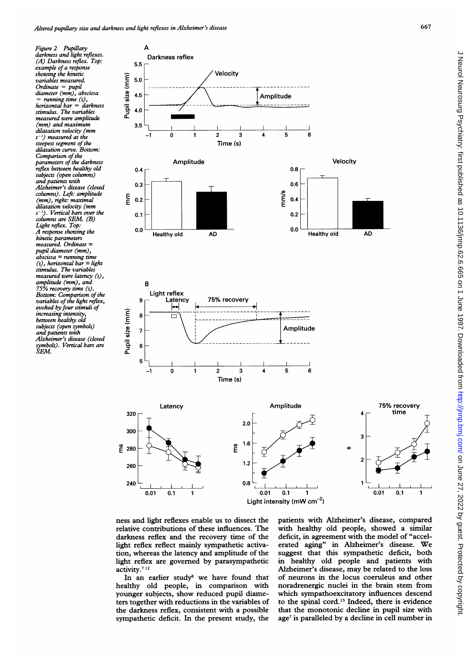Figure 2 Pupillary darkness and light reflexes. (A) Darkness reflex. Top: example of a response showing the kinetic variables measured.  $Ordinate = pupil$ diameter (mm), abscissa = running time (s), horizontal bar = darkness stimulus. The variables measured were amplitude (mm) and maximum dilatation velocity (mm  $s^{-1}$ ) measured at the steepest segment of the dilatation curve. Bottom: Comparison of the parameters of the darkness reflex between healthy old subjects (open columns) and patients with Alzheimer's disease (closed columns). Left: amplitude (mm), right: maximal dilatation velocity (mm  $s^{-1}$ ). Vertical bars over the columns are SEM. (B) Light reflex. Top: A response showing the kinetic parameters measured. Ordinate = pupil diameter (mm),  $abscissa = running time$  $(s)$ , horizontal bar = light stimulus. The variables measured were latency (s), amplitude (mm), and 75% recovery time (s). Bottom: Comparison of the variables of the light reflex, evoked by four stimuli of increasing intensity, between healthy old subjects (open symbols) and patients with Alzheimer's disease (closed symbols). Vertical bars are SEM.



ness and light reflexes enable us to dissect the relative contributions of these influences. The darkness reflex and the recovery time of the light reflex reflect mainly sympathetic activation, whereas the latency and amplitude of the light reflex are governed by parasympathetic activity.<sup>712</sup>

In an earlier study<sup>8</sup> we have found that healthy old people, in comparison with younger subjects, show reduced pupil diameters together with reductions in the variables of the darkness reflex, consistent with a possible sympathetic deficit. In the present study, the

patients with Alzheimer's disease, compared with healthy old people, showed a similar deficit, in agreement with the model of "accelerated aging" in Alzheimer's disease. We suggest that this sympathetic deficit, both in healthy old people and patients with Alzheimer's disease, may be related to the loss of neurons in the locus coeruleus and other noradrenergic nuclei in the brain stem from which sympathoexcitatory influences descend to the spinal cord.13 Indeed, there is evidence that the monotonic decline in pupil size with age<sup>7</sup> is paralleled by a decline in cell number in